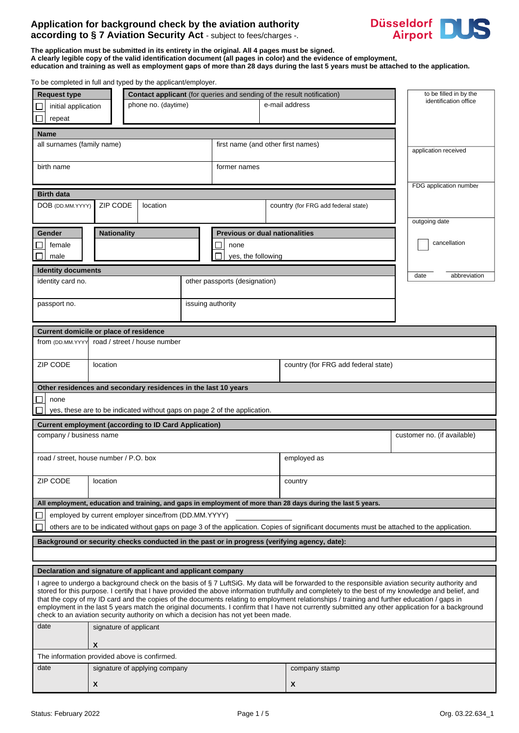## **Application for background check by the aviation authority according to § 7 Aviation Security Act** - subject to fees/charges -.



**The application must be submitted in its entirety in the original. All 4 pages must be signed. A clearly legible copy of the valid identification document (all pages in color) and the evidence of employment, education and training as well as employment gaps of more than 28 days during the last 5 years must be attached to the application.** 

To be completed in full and typed by the applicant/employer.

| <b>Request type</b>                                                                                                                                                                                                                                                                                                                                                                                                                                                                                                                                                                                                                                                                              | <b>Contact applicant</b> (for queries and sending of the result notification) |                              |  |                                       |               | to be filled in by the              |                        |
|--------------------------------------------------------------------------------------------------------------------------------------------------------------------------------------------------------------------------------------------------------------------------------------------------------------------------------------------------------------------------------------------------------------------------------------------------------------------------------------------------------------------------------------------------------------------------------------------------------------------------------------------------------------------------------------------------|-------------------------------------------------------------------------------|------------------------------|--|---------------------------------------|---------------|-------------------------------------|------------------------|
| initial application<br>ப                                                                                                                                                                                                                                                                                                                                                                                                                                                                                                                                                                                                                                                                         |                                                                               | phone no. (daytime)          |  | e-mail address                        |               | identification office               |                        |
| repeat                                                                                                                                                                                                                                                                                                                                                                                                                                                                                                                                                                                                                                                                                           |                                                                               |                              |  |                                       |               |                                     |                        |
| <b>Name</b>                                                                                                                                                                                                                                                                                                                                                                                                                                                                                                                                                                                                                                                                                      |                                                                               |                              |  |                                       |               |                                     |                        |
| all surnames (family name)                                                                                                                                                                                                                                                                                                                                                                                                                                                                                                                                                                                                                                                                       |                                                                               |                              |  |                                       |               | first name (and other first names)  | application received   |
| birth name                                                                                                                                                                                                                                                                                                                                                                                                                                                                                                                                                                                                                                                                                       |                                                                               |                              |  | former names                          |               |                                     |                        |
| <b>Birth data</b>                                                                                                                                                                                                                                                                                                                                                                                                                                                                                                                                                                                                                                                                                |                                                                               |                              |  |                                       |               |                                     | FDG application number |
| DOB (DD.MM.YYYY)                                                                                                                                                                                                                                                                                                                                                                                                                                                                                                                                                                                                                                                                                 | <b>ZIP CODE</b><br>location                                                   |                              |  | country (for FRG add federal state)   |               |                                     |                        |
|                                                                                                                                                                                                                                                                                                                                                                                                                                                                                                                                                                                                                                                                                                  |                                                                               |                              |  |                                       |               |                                     | outgoing date          |
| Gender                                                                                                                                                                                                                                                                                                                                                                                                                                                                                                                                                                                                                                                                                           | <b>Nationality</b>                                                            |                              |  | <b>Previous or dual nationalities</b> |               |                                     | cancellation           |
| female<br>male                                                                                                                                                                                                                                                                                                                                                                                                                                                                                                                                                                                                                                                                                   |                                                                               |                              |  | none<br>yes, the following            |               |                                     |                        |
| <b>Identity documents</b>                                                                                                                                                                                                                                                                                                                                                                                                                                                                                                                                                                                                                                                                        |                                                                               |                              |  |                                       |               |                                     |                        |
| identity card no.                                                                                                                                                                                                                                                                                                                                                                                                                                                                                                                                                                                                                                                                                |                                                                               |                              |  | other passports (designation)         |               |                                     | date<br>abbreviation   |
|                                                                                                                                                                                                                                                                                                                                                                                                                                                                                                                                                                                                                                                                                                  |                                                                               |                              |  |                                       |               |                                     |                        |
| passport no.                                                                                                                                                                                                                                                                                                                                                                                                                                                                                                                                                                                                                                                                                     |                                                                               |                              |  | issuing authority                     |               |                                     |                        |
|                                                                                                                                                                                                                                                                                                                                                                                                                                                                                                                                                                                                                                                                                                  |                                                                               |                              |  |                                       |               |                                     |                        |
| Current domicile or place of residence                                                                                                                                                                                                                                                                                                                                                                                                                                                                                                                                                                                                                                                           |                                                                               |                              |  |                                       |               |                                     |                        |
| from (DD.MM.YYYY                                                                                                                                                                                                                                                                                                                                                                                                                                                                                                                                                                                                                                                                                 |                                                                               | road / street / house number |  |                                       |               |                                     |                        |
| <b>ZIP CODE</b>                                                                                                                                                                                                                                                                                                                                                                                                                                                                                                                                                                                                                                                                                  | location                                                                      |                              |  |                                       |               | country (for FRG add federal state) |                        |
|                                                                                                                                                                                                                                                                                                                                                                                                                                                                                                                                                                                                                                                                                                  |                                                                               |                              |  |                                       |               |                                     |                        |
| Other residences and secondary residences in the last 10 years                                                                                                                                                                                                                                                                                                                                                                                                                                                                                                                                                                                                                                   |                                                                               |                              |  |                                       |               |                                     |                        |
| none<br>┙                                                                                                                                                                                                                                                                                                                                                                                                                                                                                                                                                                                                                                                                                        |                                                                               |                              |  |                                       |               |                                     |                        |
| yes, these are to be indicated without gaps on page 2 of the application.                                                                                                                                                                                                                                                                                                                                                                                                                                                                                                                                                                                                                        |                                                                               |                              |  |                                       |               |                                     |                        |
| <b>Current employment (according to ID Card Application)</b><br>company / business name<br>customer no. (if available)                                                                                                                                                                                                                                                                                                                                                                                                                                                                                                                                                                           |                                                                               |                              |  |                                       |               |                                     |                        |
|                                                                                                                                                                                                                                                                                                                                                                                                                                                                                                                                                                                                                                                                                                  |                                                                               |                              |  |                                       |               |                                     |                        |
| road / street, house number / P.O. box                                                                                                                                                                                                                                                                                                                                                                                                                                                                                                                                                                                                                                                           |                                                                               |                              |  |                                       |               | employed as                         |                        |
| <b>ZIP CODE</b><br>location                                                                                                                                                                                                                                                                                                                                                                                                                                                                                                                                                                                                                                                                      |                                                                               |                              |  |                                       | country       |                                     |                        |
|                                                                                                                                                                                                                                                                                                                                                                                                                                                                                                                                                                                                                                                                                                  |                                                                               |                              |  |                                       |               |                                     |                        |
| All employment, education and training, and gaps in employment of more than 28 days during the last 5 years.                                                                                                                                                                                                                                                                                                                                                                                                                                                                                                                                                                                     |                                                                               |                              |  |                                       |               |                                     |                        |
| employed by current employer since/from (DD.MM.YYYY)                                                                                                                                                                                                                                                                                                                                                                                                                                                                                                                                                                                                                                             |                                                                               |                              |  |                                       |               |                                     |                        |
| others are to be indicated without gaps on page 3 of the application. Copies of significant documents must be attached to the application.                                                                                                                                                                                                                                                                                                                                                                                                                                                                                                                                                       |                                                                               |                              |  |                                       |               |                                     |                        |
| Background or security checks conducted in the past or in progress (verifying agency, date):                                                                                                                                                                                                                                                                                                                                                                                                                                                                                                                                                                                                     |                                                                               |                              |  |                                       |               |                                     |                        |
|                                                                                                                                                                                                                                                                                                                                                                                                                                                                                                                                                                                                                                                                                                  |                                                                               |                              |  |                                       |               |                                     |                        |
| Declaration and signature of applicant and applicant company                                                                                                                                                                                                                                                                                                                                                                                                                                                                                                                                                                                                                                     |                                                                               |                              |  |                                       |               |                                     |                        |
| I agree to undergo a background check on the basis of § 7 LuftSiG. My data will be forwarded to the responsible aviation security authority and<br>stored for this purpose. I certify that I have provided the above information truthfully and completely to the best of my knowledge and belief, and<br>that the copy of my ID card and the copies of the documents relating to employment relationships / training and further education / gaps in<br>employment in the last 5 years match the original documents. I confirm that I have not currently submitted any other application for a background<br>check to an aviation security authority on which a decision has not yet been made. |                                                                               |                              |  |                                       |               |                                     |                        |
| date                                                                                                                                                                                                                                                                                                                                                                                                                                                                                                                                                                                                                                                                                             | signature of applicant                                                        |                              |  |                                       |               |                                     |                        |
|                                                                                                                                                                                                                                                                                                                                                                                                                                                                                                                                                                                                                                                                                                  | X                                                                             |                              |  |                                       |               |                                     |                        |
|                                                                                                                                                                                                                                                                                                                                                                                                                                                                                                                                                                                                                                                                                                  | The information provided above is confirmed.                                  |                              |  |                                       |               |                                     |                        |
| date                                                                                                                                                                                                                                                                                                                                                                                                                                                                                                                                                                                                                                                                                             | signature of applying company                                                 |                              |  |                                       | company stamp |                                     |                        |
|                                                                                                                                                                                                                                                                                                                                                                                                                                                                                                                                                                                                                                                                                                  | X                                                                             |                              |  |                                       |               | X                                   |                        |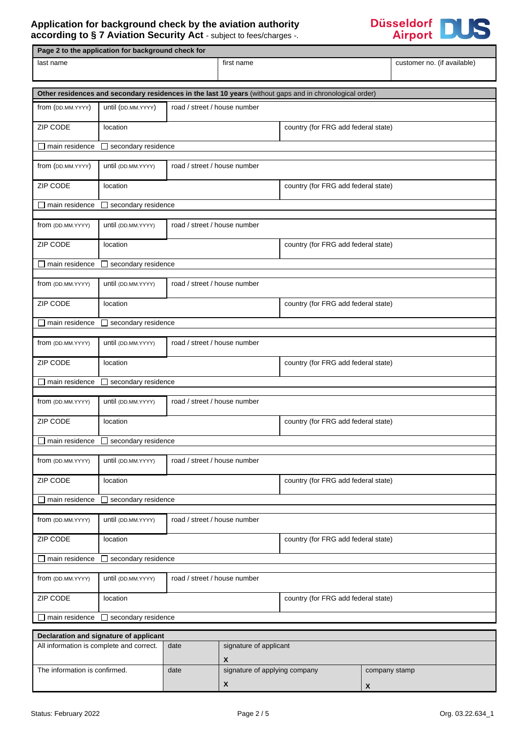# **Application for background check by the aviation authority according to § 7 Aviation Security Act** - subject to fees/charges -.



| Page 2 to the application for background check for  |                                                                                                          |                                     |                                                   |                                     |                             |  |  |
|-----------------------------------------------------|----------------------------------------------------------------------------------------------------------|-------------------------------------|---------------------------------------------------|-------------------------------------|-----------------------------|--|--|
| last name                                           |                                                                                                          | first name                          |                                                   |                                     | customer no. (if available) |  |  |
|                                                     | Other residences and secondary residences in the last 10 years (without gaps and in chronological order) |                                     |                                                   |                                     |                             |  |  |
| from (DD.MM.YYYY)                                   | road / street / house number<br>until (DD.MM.YYYY)                                                       |                                     |                                                   |                                     |                             |  |  |
| ZIP CODE                                            | location                                                                                                 |                                     |                                                   | country (for FRG add federal state) |                             |  |  |
| $\Box$ main residence                               | secondary residence                                                                                      |                                     |                                                   |                                     |                             |  |  |
| from (DD.MM.YYYY)                                   | until (DD.MM.YYYY)                                                                                       | road / street / house number        |                                                   |                                     |                             |  |  |
| ZIP CODE                                            | location                                                                                                 |                                     |                                                   | country (for FRG add federal state) |                             |  |  |
| $\Box$ main residence                               | secondary residence                                                                                      |                                     |                                                   |                                     |                             |  |  |
| from (DD.MM.YYYY)                                   | until (DD.MM.YYYY)                                                                                       | road / street / house number        |                                                   |                                     |                             |  |  |
| <b>ZIP CODE</b>                                     | location                                                                                                 |                                     |                                                   | country (for FRG add federal state) |                             |  |  |
| $\Box$ main residence                               | $\Box$ secondary residence                                                                               |                                     |                                                   |                                     |                             |  |  |
| from (DD.MM.YYYY)                                   | until (DD.MM.YYYY)                                                                                       | road / street / house number        |                                                   |                                     |                             |  |  |
| ZIP CODE                                            | location                                                                                                 |                                     |                                                   | country (for FRG add federal state) |                             |  |  |
| $\Box$ main residence                               | Secondary residence                                                                                      |                                     |                                                   |                                     |                             |  |  |
| from (DD.MM.YYYY)                                   | until (DD.MM.YYYY)<br>road / street / house number                                                       |                                     |                                                   |                                     |                             |  |  |
| ZIP CODE                                            | location                                                                                                 |                                     |                                                   | country (for FRG add federal state) |                             |  |  |
| $\Box$ secondary residence<br>$\Box$ main residence |                                                                                                          |                                     |                                                   |                                     |                             |  |  |
| from (DD.MM.YYYY)                                   | until (DD.MM.YYYY)                                                                                       | road / street / house number        |                                                   |                                     |                             |  |  |
| <b>ZIP CODE</b>                                     | location                                                                                                 |                                     |                                                   | country (for FRG add federal state) |                             |  |  |
| main residence                                      | secondary residence                                                                                      |                                     |                                                   |                                     |                             |  |  |
| from (DD.MM.YYYY)                                   | until (DD.MM.YYYY)<br>road / street / house number                                                       |                                     |                                                   |                                     |                             |  |  |
| ZIP CODE                                            | location                                                                                                 | country (for FRG add federal state) |                                                   |                                     |                             |  |  |
| $\Box$ main residence<br>secondary residence<br>- 1 |                                                                                                          |                                     |                                                   |                                     |                             |  |  |
| from (DD.MM.YYYY)                                   | road / street / house number<br>until (DD.MM.YYYY)                                                       |                                     |                                                   |                                     |                             |  |  |
| ZIP CODE                                            | location                                                                                                 |                                     |                                                   | country (for FRG add federal state) |                             |  |  |
| secondary residence<br>$\Box$ main residence        |                                                                                                          |                                     |                                                   |                                     |                             |  |  |
| from (DD.MM.YYYY)                                   | until (DD.MM.YYYY)                                                                                       | road / street / house number        |                                                   |                                     |                             |  |  |
| ZIP CODE                                            | location                                                                                                 |                                     |                                                   | country (for FRG add federal state) |                             |  |  |
| $\Box$ main residence<br>secondary residence        |                                                                                                          |                                     |                                                   |                                     |                             |  |  |
| Declaration and signature of applicant              |                                                                                                          |                                     |                                                   |                                     |                             |  |  |
| All information is complete and correct.            |                                                                                                          | date                                | signature of applicant<br>X                       |                                     |                             |  |  |
| The information is confirmed.                       |                                                                                                          | date                                | signature of applying company<br>$\boldsymbol{x}$ |                                     | company stamp<br>X          |  |  |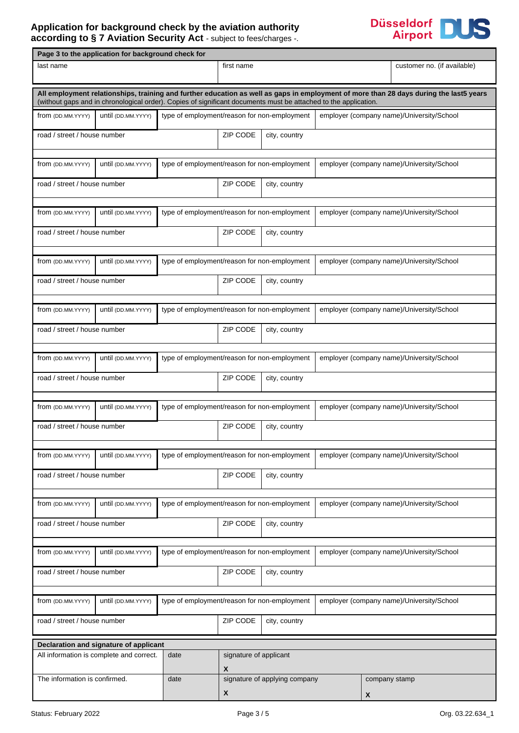## **Application for background check by the aviation authority according to § 7 Aviation Security Act** - subject to fees/charges -.



| Page 3 to the application for background check for                                                                                                                                                                                                        |                                                                    |                                              |                                                     |               |                                           |  |                                           |
|-----------------------------------------------------------------------------------------------------------------------------------------------------------------------------------------------------------------------------------------------------------|--------------------------------------------------------------------|----------------------------------------------|-----------------------------------------------------|---------------|-------------------------------------------|--|-------------------------------------------|
| last name                                                                                                                                                                                                                                                 |                                                                    |                                              | first name                                          |               |                                           |  | customer no. (if available)               |
| All employment relationships, training and further education as well as gaps in employment of more than 28 days during the last5 years<br>(without gaps and in chronological order). Copies of significant documents must be attached to the application. |                                                                    |                                              |                                                     |               |                                           |  |                                           |
| from (DD.MM.YYYY)                                                                                                                                                                                                                                         |                                                                    | type of employment/reason for non-employment |                                                     |               | employer (company name)/University/School |  |                                           |
| road / street / house number                                                                                                                                                                                                                              | ZIP CODE                                                           | city, country                                |                                                     |               |                                           |  |                                           |
| until (DD.MM.YYYY)<br>type of employment/reason for non-employment<br>from (DD.MM.YYYY)                                                                                                                                                                   |                                                                    |                                              |                                                     |               |                                           |  | employer (company name)/University/School |
| road / street / house number                                                                                                                                                                                                                              |                                                                    |                                              | <b>ZIP CODE</b>                                     | city, country |                                           |  |                                           |
| from (DD.MM.YYYY)                                                                                                                                                                                                                                         | until (DD.MM.YYYY)                                                 | type of employment/reason for non-employment |                                                     |               |                                           |  | employer (company name)/University/School |
| road / street / house number                                                                                                                                                                                                                              |                                                                    |                                              | <b>ZIP CODE</b>                                     | city, country |                                           |  |                                           |
| from (DD.MM.YYYY)                                                                                                                                                                                                                                         | until (DD.MM.YYYY)                                                 | type of employment/reason for non-employment |                                                     |               |                                           |  | employer (company name)/University/School |
| road / street / house number                                                                                                                                                                                                                              |                                                                    |                                              | <b>ZIP CODE</b>                                     | city, country |                                           |  |                                           |
| from (DD.MM.YYYY)                                                                                                                                                                                                                                         | until (DD.MM.YYYY)                                                 | type of employment/reason for non-employment |                                                     |               |                                           |  | employer (company name)/University/School |
| road / street / house number                                                                                                                                                                                                                              |                                                                    |                                              | <b>ZIP CODE</b>                                     | city, country |                                           |  |                                           |
| from (DD.MM.YYYY)                                                                                                                                                                                                                                         | until (DD.MM.YYYY)                                                 | type of employment/reason for non-employment |                                                     |               |                                           |  | employer (company name)/University/School |
| road / street / house number                                                                                                                                                                                                                              |                                                                    |                                              | <b>ZIP CODE</b>                                     | city, country |                                           |  |                                           |
| from (DD.MM.YYYY)                                                                                                                                                                                                                                         | until (DD.MM.YYYY)                                                 | type of employment/reason for non-employment |                                                     |               |                                           |  | employer (company name)/University/School |
| ZIP CODE<br>road / street / house number                                                                                                                                                                                                                  |                                                                    |                                              |                                                     | city, country |                                           |  |                                           |
| from (DD.MM.YYYY)                                                                                                                                                                                                                                         | until (DD.MM.YYYY)                                                 | type of employment/reason for non-employment |                                                     |               |                                           |  | employer (company name)/University/School |
| road / street / house number                                                                                                                                                                                                                              |                                                                    |                                              | ZIP CODE                                            | city, country |                                           |  |                                           |
| from (DD.MM.YYYY)                                                                                                                                                                                                                                         | until (DD.MM.YYYY)                                                 | type of employment/reason for non-employment |                                                     |               |                                           |  | employer (company name)/University/School |
| road / street / house number                                                                                                                                                                                                                              |                                                                    |                                              | ZIP CODE                                            | city, country |                                           |  |                                           |
| from (DD.MM.YYYY)                                                                                                                                                                                                                                         | until (DD.MM.YYYY)                                                 | type of employment/reason for non-employment |                                                     |               |                                           |  | employer (company name)/University/School |
| road / street / house number                                                                                                                                                                                                                              |                                                                    |                                              | <b>ZIP CODE</b>                                     | city, country |                                           |  |                                           |
| from (DD.MM.YYYY)                                                                                                                                                                                                                                         | until (DD.MM.YYYY)<br>type of employment/reason for non-employment |                                              | employer (company name)/University/School           |               |                                           |  |                                           |
| road / street / house number                                                                                                                                                                                                                              |                                                                    |                                              | ZIP CODE                                            | city, country |                                           |  |                                           |
|                                                                                                                                                                                                                                                           | Declaration and signature of applicant                             |                                              |                                                     |               |                                           |  |                                           |
|                                                                                                                                                                                                                                                           | All information is complete and correct.                           | date                                         | signature of applicant                              |               |                                           |  |                                           |
| The information is confirmed.<br>date                                                                                                                                                                                                                     |                                                                    |                                              | X<br>signature of applying company<br>company stamp |               |                                           |  |                                           |
|                                                                                                                                                                                                                                                           |                                                                    | X<br>X                                       |                                                     |               |                                           |  |                                           |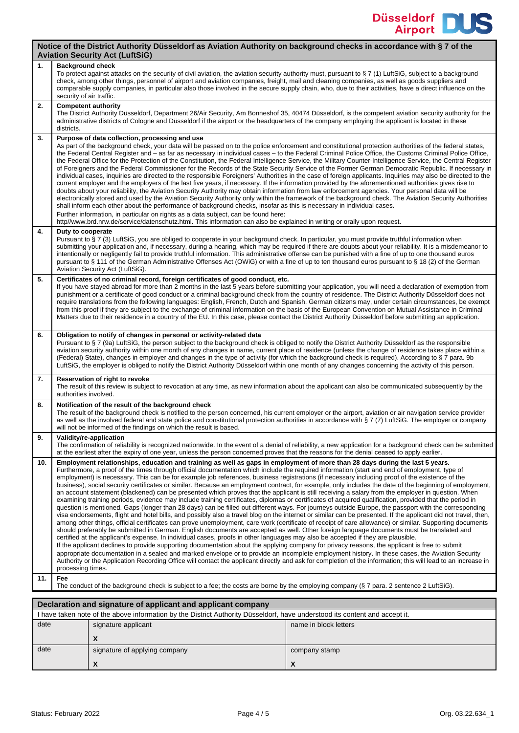|      |                                                                                                                                                                                                                                                                                                                                                                                                                                                                                                                                                                                                                                                                                                                                                                                                                                                                                                                                                                                                                                                                                                                                                                                                                                                                                                                                                                                                                                                                                                                                                                                                                                                                                                                                                                                                                                                                                                                                                                                                                                                                                                                                                                            | Notice of the District Authority Düsseldorf as Aviation Authority on background checks in accordance with § 7 of the<br><b>Aviation Security Act (LuftSiG)</b>                                                                                                                                                                                                                                                                                                                                                                                                                                                                                                                                                                                                                                                                                                                                                                                                                                                                                                                                                                                                                                                                                                                                                                                                                                                                                                                                                                                                                                                                                                             |                       |  |  |  |  |  |
|------|----------------------------------------------------------------------------------------------------------------------------------------------------------------------------------------------------------------------------------------------------------------------------------------------------------------------------------------------------------------------------------------------------------------------------------------------------------------------------------------------------------------------------------------------------------------------------------------------------------------------------------------------------------------------------------------------------------------------------------------------------------------------------------------------------------------------------------------------------------------------------------------------------------------------------------------------------------------------------------------------------------------------------------------------------------------------------------------------------------------------------------------------------------------------------------------------------------------------------------------------------------------------------------------------------------------------------------------------------------------------------------------------------------------------------------------------------------------------------------------------------------------------------------------------------------------------------------------------------------------------------------------------------------------------------------------------------------------------------------------------------------------------------------------------------------------------------------------------------------------------------------------------------------------------------------------------------------------------------------------------------------------------------------------------------------------------------------------------------------------------------------------------------------------------------|----------------------------------------------------------------------------------------------------------------------------------------------------------------------------------------------------------------------------------------------------------------------------------------------------------------------------------------------------------------------------------------------------------------------------------------------------------------------------------------------------------------------------------------------------------------------------------------------------------------------------------------------------------------------------------------------------------------------------------------------------------------------------------------------------------------------------------------------------------------------------------------------------------------------------------------------------------------------------------------------------------------------------------------------------------------------------------------------------------------------------------------------------------------------------------------------------------------------------------------------------------------------------------------------------------------------------------------------------------------------------------------------------------------------------------------------------------------------------------------------------------------------------------------------------------------------------------------------------------------------------------------------------------------------------|-----------------------|--|--|--|--|--|
| 1.   |                                                                                                                                                                                                                                                                                                                                                                                                                                                                                                                                                                                                                                                                                                                                                                                                                                                                                                                                                                                                                                                                                                                                                                                                                                                                                                                                                                                                                                                                                                                                                                                                                                                                                                                                                                                                                                                                                                                                                                                                                                                                                                                                                                            | <b>Background check</b><br>To protect against attacks on the security of civil aviation, the aviation security authority must, pursuant to $\S 7$ (1) LuftSiG, subject to a background<br>check, among other things, personnel of airport and aviation companies, freight, mail and cleaning companies, as well as goods suppliers and<br>comparable supply companies, in particular also those involved in the secure supply chain, who, due to their activities, have a direct influence on the<br>security of air traffic.                                                                                                                                                                                                                                                                                                                                                                                                                                                                                                                                                                                                                                                                                                                                                                                                                                                                                                                                                                                                                                                                                                                                              |                       |  |  |  |  |  |
| 2.   | <b>Competent authority</b><br>The District Authority Düsseldorf, Department 26/Air Security, Am Bonneshof 35, 40474 Düsseldorf, is the competent aviation security authority for the<br>administrative districts of Cologne and Düsseldorf if the airport or the headquarters of the company employing the applicant is located in these<br>districts.                                                                                                                                                                                                                                                                                                                                                                                                                                                                                                                                                                                                                                                                                                                                                                                                                                                                                                                                                                                                                                                                                                                                                                                                                                                                                                                                                                                                                                                                                                                                                                                                                                                                                                                                                                                                                     |                                                                                                                                                                                                                                                                                                                                                                                                                                                                                                                                                                                                                                                                                                                                                                                                                                                                                                                                                                                                                                                                                                                                                                                                                                                                                                                                                                                                                                                                                                                                                                                                                                                                            |                       |  |  |  |  |  |
| 3.   |                                                                                                                                                                                                                                                                                                                                                                                                                                                                                                                                                                                                                                                                                                                                                                                                                                                                                                                                                                                                                                                                                                                                                                                                                                                                                                                                                                                                                                                                                                                                                                                                                                                                                                                                                                                                                                                                                                                                                                                                                                                                                                                                                                            | Purpose of data collection, processing and use<br>As part of the background check, your data will be passed on to the police enforcement and constitutional protection authorities of the federal states,<br>the Federal Central Register and – as far as necessary in individual cases – to the Federal Criminal Police Office, the Customs Criminal Police Office,<br>the Federal Office for the Protection of the Constitution, the Federal Intelligence Service, the Military Counter-Intelligence Service, the Central Register<br>of Foreigners and the Federal Commissioner for the Records of the State Security Service of the Former German Democratic Republic. If necessary in<br>individual cases, inquiries are directed to the responsible Foreigners' Authorities in the case of foreign applicants. Inquiries may also be directed to the<br>current employer and the employers of the last five years, if necessary. If the information provided by the aforementioned authorities gives rise to<br>doubts about your reliability, the Aviation Security Authority may obtain information from law enforcement agencies. Your personal data will be<br>electronically stored and used by the Aviation Security Authority only within the framework of the background check. The Aviation Security Authorities<br>shall inform each other about the performance of background checks, insofar as this is necessary in individual cases.<br>Further information, in particular on rights as a data subject, can be found here:<br>http//www.brd.nrw.de/service/datenschutz.html. This information can also be explained in writing or orally upon request. |                       |  |  |  |  |  |
| 4.   | Duty to cooperate<br>Pursuant to § 7 (3) LuftSiG, you are obliged to cooperate in your background check. In particular, you must provide truthful information when<br>submitting your application and, if necessary, during a hearing, which may be required if there are doubts about your reliability. It is a misdemeanor to<br>intentionally or negligently fail to provide truthful information. This administrative offense can be punished with a fine of up to one thousand euros<br>pursuant to § 111 of the German Administrative Offenses Act (OWiG) or with a fine of up to ten thousand euros pursuant to § 18 (2) of the German<br>Aviation Security Act (LuftSiG).                                                                                                                                                                                                                                                                                                                                                                                                                                                                                                                                                                                                                                                                                                                                                                                                                                                                                                                                                                                                                                                                                                                                                                                                                                                                                                                                                                                                                                                                                          |                                                                                                                                                                                                                                                                                                                                                                                                                                                                                                                                                                                                                                                                                                                                                                                                                                                                                                                                                                                                                                                                                                                                                                                                                                                                                                                                                                                                                                                                                                                                                                                                                                                                            |                       |  |  |  |  |  |
| 5.   | Certificates of no criminal record, foreign certificates of good conduct, etc.<br>If you have stayed abroad for more than 2 months in the last 5 years before submitting your application, you will need a declaration of exemption from<br>punishment or a certificate of good conduct or a criminal background check from the country of residence. The District Authority Düsseldorf does not<br>require translations from the following languages: English, French, Dutch and Spanish. German citizens may, under certain circumstances, be exempt<br>from this proof if they are subject to the exchange of criminal information on the basis of the European Convention on Mutual Assistance in Criminal<br>Matters due to their residence in a country of the EU. In this case, please contact the District Authority Düsseldorf before submitting an application.                                                                                                                                                                                                                                                                                                                                                                                                                                                                                                                                                                                                                                                                                                                                                                                                                                                                                                                                                                                                                                                                                                                                                                                                                                                                                                  |                                                                                                                                                                                                                                                                                                                                                                                                                                                                                                                                                                                                                                                                                                                                                                                                                                                                                                                                                                                                                                                                                                                                                                                                                                                                                                                                                                                                                                                                                                                                                                                                                                                                            |                       |  |  |  |  |  |
| 6.   | Obligation to notify of changes in personal or activity-related data<br>Pursuant to §7 (9a) LuftSiG, the person subject to the background check is obliged to notify the District Authority Düsseldorf as the responsible<br>aviation security authority within one month of any changes in name, current place of residence (unless the change of residence takes place within a<br>(Federal) State), changes in employer and changes in the type of activity (for which the background check is required). According to §7 para. 9b<br>LuftSiG, the employer is obliged to notify the District Authority Düsseldorf within one month of any changes concerning the activity of this person.                                                                                                                                                                                                                                                                                                                                                                                                                                                                                                                                                                                                                                                                                                                                                                                                                                                                                                                                                                                                                                                                                                                                                                                                                                                                                                                                                                                                                                                                              |                                                                                                                                                                                                                                                                                                                                                                                                                                                                                                                                                                                                                                                                                                                                                                                                                                                                                                                                                                                                                                                                                                                                                                                                                                                                                                                                                                                                                                                                                                                                                                                                                                                                            |                       |  |  |  |  |  |
| 7.   | Reservation of right to revoke<br>The result of this review is subject to revocation at any time, as new information about the applicant can also be communicated subsequently by the<br>authorities involved.                                                                                                                                                                                                                                                                                                                                                                                                                                                                                                                                                                                                                                                                                                                                                                                                                                                                                                                                                                                                                                                                                                                                                                                                                                                                                                                                                                                                                                                                                                                                                                                                                                                                                                                                                                                                                                                                                                                                                             |                                                                                                                                                                                                                                                                                                                                                                                                                                                                                                                                                                                                                                                                                                                                                                                                                                                                                                                                                                                                                                                                                                                                                                                                                                                                                                                                                                                                                                                                                                                                                                                                                                                                            |                       |  |  |  |  |  |
| 8.   | Notification of the result of the background check<br>The result of the background check is notified to the person concerned, his current employer or the airport, aviation or air navigation service provider<br>as well as the involved federal and state police and constitutional protection authorities in accordance with § 7 (7) LuftSiG. The employer or company<br>will not be informed of the findings on which the result is based.                                                                                                                                                                                                                                                                                                                                                                                                                                                                                                                                                                                                                                                                                                                                                                                                                                                                                                                                                                                                                                                                                                                                                                                                                                                                                                                                                                                                                                                                                                                                                                                                                                                                                                                             |                                                                                                                                                                                                                                                                                                                                                                                                                                                                                                                                                                                                                                                                                                                                                                                                                                                                                                                                                                                                                                                                                                                                                                                                                                                                                                                                                                                                                                                                                                                                                                                                                                                                            |                       |  |  |  |  |  |
| 9.   | Validity/re-application<br>The confirmation of reliability is recognized nationwide. In the event of a denial of reliability, a new application for a background check can be submitted<br>at the earliest after the expiry of one year, unless the person concerned proves that the reasons for the denial ceased to apply earlier.                                                                                                                                                                                                                                                                                                                                                                                                                                                                                                                                                                                                                                                                                                                                                                                                                                                                                                                                                                                                                                                                                                                                                                                                                                                                                                                                                                                                                                                                                                                                                                                                                                                                                                                                                                                                                                       |                                                                                                                                                                                                                                                                                                                                                                                                                                                                                                                                                                                                                                                                                                                                                                                                                                                                                                                                                                                                                                                                                                                                                                                                                                                                                                                                                                                                                                                                                                                                                                                                                                                                            |                       |  |  |  |  |  |
| 10.  | Employment relationships, education and training as well as gaps in employment of more than 28 days during the last 5 years.<br>Furthermore, a proof of the times through official documentation which include the required information (start and end of employment, type of<br>employment) is necessary. This can be for example job references, business registrations (if necessary including proof of the existence of the<br>business), social security certificates or similar. Because an employment contract, for example, only includes the date of the beginning of employment,<br>an account statement (blackened) can be presented which proves that the applicant is still receiving a salary from the employer in question. When<br>examining training periods, evidence may include training certificates, diplomas or certificates of acquired qualification, provided that the period in<br>question is mentioned. Gaps (longer than 28 days) can be filled out different ways. For journeys outside Europe, the passport with the corresponding<br>visa endorsements, flight and hotel bills, and possibly also a travel blog on the internet or similar can be presented. If the applicant did not travel, then,<br>among other things, official certificates can prove unemployment, care work (certificate of receipt of care allowance) or similar. Supporting documents<br>should preferably be submitted in German. English documents are accepted as well. Other foreign language documents must be translated and<br>certified at the applicant's expense. In individual cases, proofs in other languages may also be accepted if they are plausible.<br>If the applicant declines to provide supporting documentation about the applying company for privacy reasons, the applicant is free to submit<br>appropriate documentation in a sealed and marked envelope or to provide an incomplete employment history. In these cases, the Aviation Security<br>Authority or the Application Recording Office will contact the applicant directly and ask for completion of the information; this will lead to an increase in<br>processing times. |                                                                                                                                                                                                                                                                                                                                                                                                                                                                                                                                                                                                                                                                                                                                                                                                                                                                                                                                                                                                                                                                                                                                                                                                                                                                                                                                                                                                                                                                                                                                                                                                                                                                            |                       |  |  |  |  |  |
| 11.  | Fee<br>The conduct of the background check is subject to a fee; the costs are borne by the employing company ( $\S$ 7 para. 2 sentence 2 LuftSiG).                                                                                                                                                                                                                                                                                                                                                                                                                                                                                                                                                                                                                                                                                                                                                                                                                                                                                                                                                                                                                                                                                                                                                                                                                                                                                                                                                                                                                                                                                                                                                                                                                                                                                                                                                                                                                                                                                                                                                                                                                         |                                                                                                                                                                                                                                                                                                                                                                                                                                                                                                                                                                                                                                                                                                                                                                                                                                                                                                                                                                                                                                                                                                                                                                                                                                                                                                                                                                                                                                                                                                                                                                                                                                                                            |                       |  |  |  |  |  |
|      | Declaration and signature of applicant and applicant company                                                                                                                                                                                                                                                                                                                                                                                                                                                                                                                                                                                                                                                                                                                                                                                                                                                                                                                                                                                                                                                                                                                                                                                                                                                                                                                                                                                                                                                                                                                                                                                                                                                                                                                                                                                                                                                                                                                                                                                                                                                                                                               |                                                                                                                                                                                                                                                                                                                                                                                                                                                                                                                                                                                                                                                                                                                                                                                                                                                                                                                                                                                                                                                                                                                                                                                                                                                                                                                                                                                                                                                                                                                                                                                                                                                                            |                       |  |  |  |  |  |
| date |                                                                                                                                                                                                                                                                                                                                                                                                                                                                                                                                                                                                                                                                                                                                                                                                                                                                                                                                                                                                                                                                                                                                                                                                                                                                                                                                                                                                                                                                                                                                                                                                                                                                                                                                                                                                                                                                                                                                                                                                                                                                                                                                                                            | I have taken note of the above information by the District Authority Düsseldorf, have understood its content and accept it.<br>signature applicant                                                                                                                                                                                                                                                                                                                                                                                                                                                                                                                                                                                                                                                                                                                                                                                                                                                                                                                                                                                                                                                                                                                                                                                                                                                                                                                                                                                                                                                                                                                         | name in block letters |  |  |  |  |  |
|      |                                                                                                                                                                                                                                                                                                                                                                                                                                                                                                                                                                                                                                                                                                                                                                                                                                                                                                                                                                                                                                                                                                                                                                                                                                                                                                                                                                                                                                                                                                                                                                                                                                                                                                                                                                                                                                                                                                                                                                                                                                                                                                                                                                            | X                                                                                                                                                                                                                                                                                                                                                                                                                                                                                                                                                                                                                                                                                                                                                                                                                                                                                                                                                                                                                                                                                                                                                                                                                                                                                                                                                                                                                                                                                                                                                                                                                                                                          |                       |  |  |  |  |  |
| date |                                                                                                                                                                                                                                                                                                                                                                                                                                                                                                                                                                                                                                                                                                                                                                                                                                                                                                                                                                                                                                                                                                                                                                                                                                                                                                                                                                                                                                                                                                                                                                                                                                                                                                                                                                                                                                                                                                                                                                                                                                                                                                                                                                            | signature of applying company                                                                                                                                                                                                                                                                                                                                                                                                                                                                                                                                                                                                                                                                                                                                                                                                                                                                                                                                                                                                                                                                                                                                                                                                                                                                                                                                                                                                                                                                                                                                                                                                                                              | company stamp         |  |  |  |  |  |
|      |                                                                                                                                                                                                                                                                                                                                                                                                                                                                                                                                                                                                                                                                                                                                                                                                                                                                                                                                                                                                                                                                                                                                                                                                                                                                                                                                                                                                                                                                                                                                                                                                                                                                                                                                                                                                                                                                                                                                                                                                                                                                                                                                                                            | X                                                                                                                                                                                                                                                                                                                                                                                                                                                                                                                                                                                                                                                                                                                                                                                                                                                                                                                                                                                                                                                                                                                                                                                                                                                                                                                                                                                                                                                                                                                                                                                                                                                                          | X                     |  |  |  |  |  |